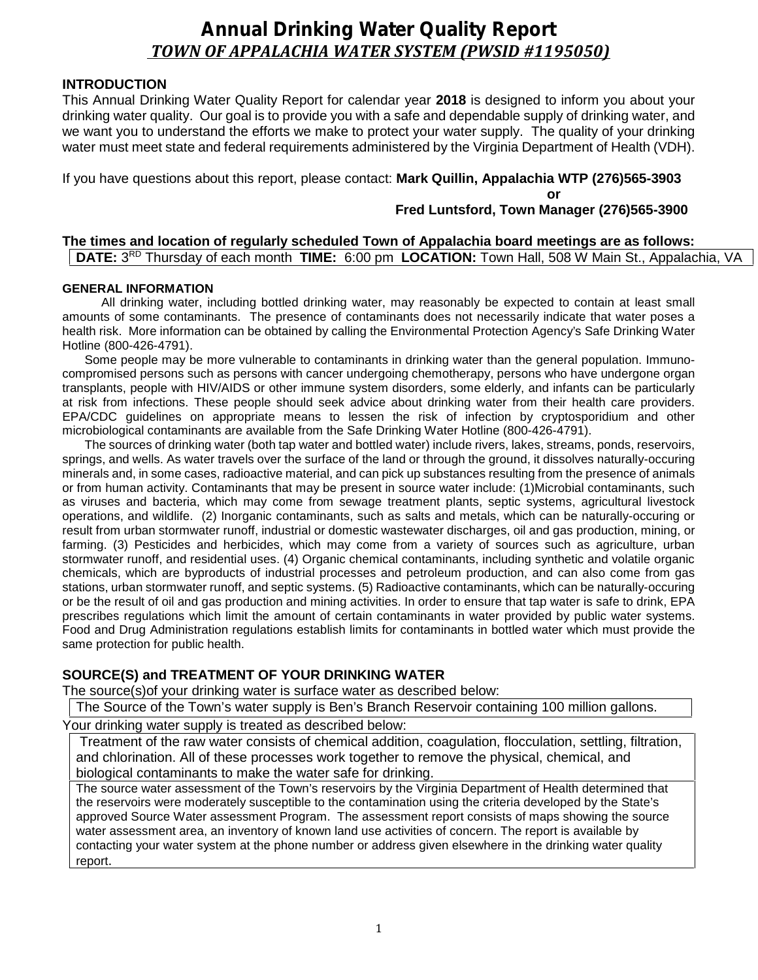# *Annual Drinking Water Quality Report TOWN OF APPALACHIA WATER SYSTEM (PWSID #1195050)*

# **INTRODUCTION**

This Annual Drinking Water Quality Report for calendar year **2018** is designed to inform you about your drinking water quality. Our goal is to provide you with a safe and dependable supply of drinking water, and we want you to understand the efforts we make to protect your water supply. The quality of your drinking water must meet state and federal requirements administered by the Virginia Department of Health (VDH).

If you have questions about this report, please contact: **Mark Quillin, Appalachia WTP (276)565-3903**

**or**

# **Fred Luntsford, Town Manager (276)565-3900**

# **The times and location of regularly scheduled Town of Appalachia board meetings are as follows: DATE:** 3<sup>RD</sup> Thursday of each month **TIME:** 6:00 pm **LOCATION:** Town Hall, 508 W Main St., Appalachia, VA |

# **GENERAL INFORMATION**

All drinking water, including bottled drinking water, may reasonably be expected to contain at least small amounts of some contaminants. The presence of contaminants does not necessarily indicate that water poses a health risk. More information can be obtained by calling the Environmental Protection Agency's Safe Drinking Water Hotline (800-426-4791).

Some people may be more vulnerable to contaminants in drinking water than the general population. Immuno compromised persons such as persons with cancer undergoing chemotherapy, persons who have undergone organ transplants, people with HIV/AIDS or other immune system disorders, some elderly, and infants can be particularly at risk from infections. These people should seek advice about drinking water from their health care providers. EPA/CDC guidelines on appropriate means to lessen the risk of infection by cryptosporidium and other microbiological contaminants are available from the Safe Drinking Water Hotline (800-426-4791).

The sources of drinking water (both tap water and bottled water) include rivers, lakes, streams, ponds, reservoirs, springs, and wells. As water travels over the surface of the land or through the ground, it dissolves naturally-occuring minerals and, in some cases, radioactive material, and can pick up substances resulting from the presence of animals or from human activity. Contaminants that may be present in source water include: (1)Microbial contaminants, such as viruses and bacteria, which may come from sewage treatment plants, septic systems, agricultural livestock operations, and wildlife. (2) Inorganic contaminants, such as salts and metals, which can be naturally-occuring or result from urban stormwater runoff, industrial or domestic wastewater discharges, oil and gas production, mining, or farming. (3) Pesticides and herbicides, which may come from a variety of sources such as agriculture, urban stormwater runoff, and residential uses. (4) Organic chemical contaminants, including synthetic and volatile organic chemicals, which are byproducts of industrial processes and petroleum production, and can also come from gas stations, urban stormwater runoff, and septic systems. (5) Radioactive contaminants, which can be naturally-occuring or be the result of oil and gas production and mining activities. In order to ensure that tap water is safe to drink, EPA prescribes regulations which limit the amount of certain contaminants in water provided by public water systems. Food and Drug Administration regulations establish limits for contaminants in bottled water which must provide the same protection for public health.

# **SOURCE(S) and TREATMENT OF YOUR DRINKING WATER**

The source(s)of your drinking water is surface water as described below:

The Source of the Town's water supply is Ben's Branch Reservoir containing 100 million gallons.

Your drinking water supply is treated as described below:

Treatment of the raw water consists of chemical addition, coagulation, flocculation, settling, filtration, and chlorination. All of these processes work together to remove the physical, chemical, and biological contaminants to make the water safe for drinking.

The source water assessment of the Town's reservoirs by the Virginia Department of Health determined that the reservoirs were moderately susceptible to the contamination using the criteria developed by the State's approved Source Water assessment Program. The assessment report consists of maps showing the source water assessment area, an inventory of known land use activities of concern. The report is available by contacting your water system at the phone number or address given elsewhere in the drinking water quality report.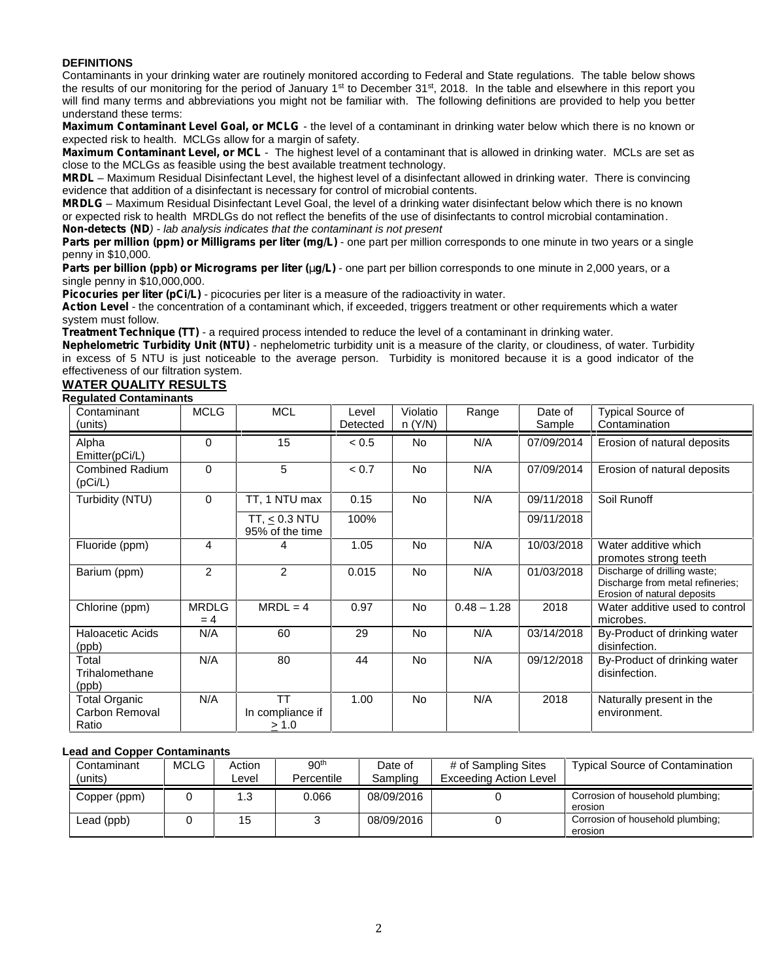### **DEFINITIONS**

Contaminants in your drinking water are routinely monitored according to Federal and State regulations. The table below shows the results of our monitoring for the period of January 1<sup>st</sup> to December 31<sup>st</sup>, 2018. In the table and elsewhere in this report you will find many terms and abbreviations you might not be familiar with. The following definitions are provided to help you better understand these terms:

*Maximum Contaminant Level Goal, or MCLG -* the level of a contaminant in drinking water below which there is no known or expected risk to health. MCLGs allow for a margin of safety.

*Maximum Contaminant Level, or MCL* - The highest level of a contaminant that is allowed in drinking water. MCLs are set as close to the MCLGs as feasible using the best available treatment technology.

*MRDL –* Maximum Residual Disinfectant Level, the highest level of a disinfectant allowed in drinking water. There is convincing evidence that addition of a disinfectant is necessary for control of microbial contents.

*MRDLG –* Maximum Residual Disinfectant Level Goal, the level of a drinking water disinfectant below which there is no known or expected risk to health MRDLGs do not reflect the benefits of the use of disinfectants to control microbial contamination. *Non-detects (ND) - lab analysis indicates that the contaminant is not present*

**Parts per million (ppm) or Milligrams per liter (mg/L)** - one part per million corresponds to one minute in two years or a single penny in \$10,000.

**Parts per billion (ppb) or Micrograms per liter (** $q/L$ **) - one part per billion corresponds to one minute in 2,000 years, or a** single penny in \$10,000,000.

**Picocuries per liter (pCi/L)** - picocuries per liter is a measure of the radioactivity in water.

*Action Level* - the concentration of a contaminant which, if exceeded, triggers treatment or other requirements which a water system must follow.

*Treatment Technique (TT)* - a required process intended to reduce the level of a contaminant in drinking water.

*Nephelometric Turbidity Unit (NTU)* - nephelometric turbidity unit is a measure of the clarity, or cloudiness, of water. Turbidity in excess of 5 NTU is just noticeable to the average person. Turbidity is monitored because it is a good indicator of the effectiveness of our filtration system.

# **WATER QUALITY RESULTS**

#### **Regulated Contaminants**

| Contaminant<br>(units)                          | <b>MCLG</b>          | <b>MCL</b>                                  | Level<br>Detected | Violatio<br>n (Y/N) | Range         | Date of<br>Sample | <b>Typical Source of</b><br>Contamination                                                       |
|-------------------------------------------------|----------------------|---------------------------------------------|-------------------|---------------------|---------------|-------------------|-------------------------------------------------------------------------------------------------|
| Alpha<br>Emitter(pCi/L)                         | $\Omega$             | 15                                          | < 0.5             | No                  | N/A           | 07/09/2014        | Erosion of natural deposits                                                                     |
| Combined Radium<br>(pCi/L)                      | 0                    | 5                                           | < 0.7             | <b>No</b>           | N/A           | 07/09/2014        | Erosion of natural deposits                                                                     |
| Turbidity (NTU)                                 | 0                    | TT, 1 NTU max                               | 0.15              | <b>No</b>           | N/A           | 09/11/2018        | Soil Runoff                                                                                     |
|                                                 |                      | TT, $\leq$ 0.3 NTU<br>95% of the time       | 100%              |                     |               | 09/11/2018        |                                                                                                 |
| Fluoride (ppm)                                  | 4                    | 4                                           | 1.05              | No.                 | N/A           | 10/03/2018        | Water additive which<br>promotes strong teeth                                                   |
| Barium (ppm)                                    | $\overline{2}$       | $\overline{2}$                              | 0.015             | No.                 | N/A           | 01/03/2018        | Discharge of drilling waste;<br>Discharge from metal refineries;<br>Erosion of natural deposits |
| Chlorine (ppm)                                  | <b>MRDLG</b><br>$=4$ | $MRDL = 4$                                  | 0.97              | <b>No</b>           | $0.48 - 1.28$ | 2018              | Water additive used to control<br>microbes.                                                     |
| <b>Haloacetic Acids</b><br>(ppb)                | N/A                  | 60                                          | 29                | <b>No</b>           | N/A           | 03/14/2018        | By-Product of drinking water<br>disinfection.                                                   |
| Total<br>Trihalomethane<br>(ppb)                | N/A                  | 80                                          | 44                | No.                 | N/A           | 09/12/2018        | By-Product of drinking water<br>disinfection.                                                   |
| <b>Total Organic</b><br>Carbon Removal<br>Ratio | N/A                  | <b>TT</b><br>In compliance if<br>$\geq 1.0$ | 1.00              | <b>No</b>           | N/A           | 2018              | Naturally present in the<br>environment.                                                        |

#### **Lead and Copper Contaminants**

| Contaminant<br>(units) | MCLG | Action<br>Level | 90 <sup>th</sup><br>Percentile | Date of<br>Sampling | # of Sampling Sites<br>Exceeding Action Level | <b>Typical Source of Contamination</b>      |
|------------------------|------|-----------------|--------------------------------|---------------------|-----------------------------------------------|---------------------------------------------|
| Copper (ppm)           |      |                 | 0.066                          | 08/09/2016          |                                               | Corrosion of household plumbing:<br>erosion |
| Lead (ppb)             |      | 15              |                                | 08/09/2016          |                                               | Corrosion of household plumbing:<br>erosion |